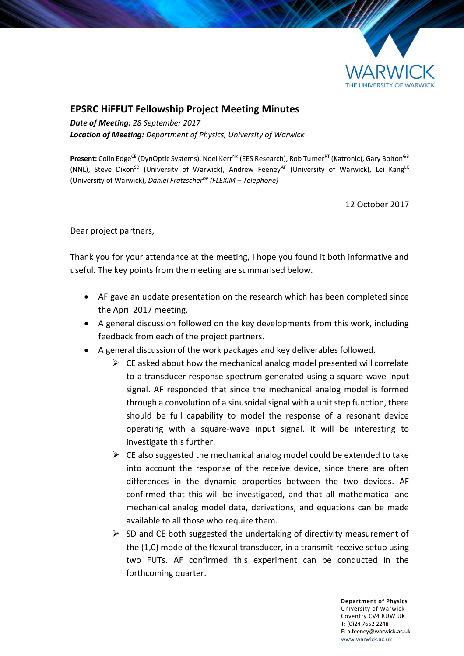

## **EPSRC HiFFUT Fellowship Project Meeting Minutes**

*Date of Meeting: 28 September 2017 Location of Meeting: Department of Physics, University of Warwick*

Present: Colin Edge<sup>CE</sup> (DynOptic Systems), Noel Kerr<sup>NK</sup> (EES Research), Rob Turner<sup>RT</sup> (Katronic), Gary Bolton<sup>GB</sup> (NNL), Steve Dixon<sup>SD</sup> (University of Warwick), Andrew Feeney<sup>AF</sup> (University of Warwick), Lei Kang<sup>LK</sup> (University of Warwick), *Daniel FratzscherDF (FLEXIM – Telephone)*

12 October 2017

Dear project partners,

Thank you for your attendance at the meeting, I hope you found it both informative and useful. The key points from the meeting are summarised below.

- AF gave an update presentation on the research which has been completed since the April 2017 meeting.
- A general discussion followed on the key developments from this work, including feedback from each of the project partners.
- A general discussion of the work packages and key deliverables followed.
	- $\triangleright$  CE asked about how the mechanical analog model presented will correlate to a transducer response spectrum generated using a square-wave input signal. AF responded that since the mechanical analog model is formed through a convolution of a sinusoidal signal with a unit step function, there should be full capability to model the response of a resonant device operating with a square-wave input signal. It will be interesting to investigate this further.
	- $\triangleright$  CE also suggested the mechanical analog model could be extended to take into account the response of the receive device, since there are often differences in the dynamic properties between the two devices. AF confirmed that this will be investigated, and that all mathematical and mechanical analog model data, derivations, and equations can be made available to all those who require them.
	- $\triangleright$  SD and CE both suggested the undertaking of directivity measurement of the (1,0) mode of the flexural transducer, in a transmit-receive setup using two FUTs. AF confirmed this experiment can be conducted in the forthcoming quarter.

**Department of Physics** University of Warwick Coventry CV4 8UW UK T: (0)24 7652 2248 E: a.feeney@warwick.ac.uk <www.warwick.ac.uk>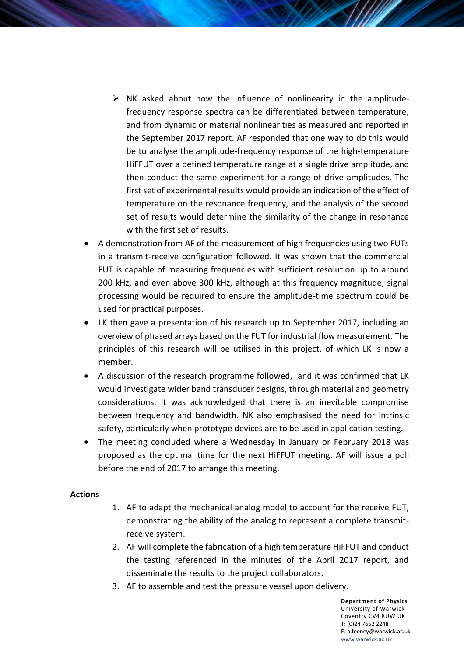- $\triangleright$  NK asked about how the influence of nonlinearity in the amplitudefrequency response spectra can be differentiated between temperature, and from dynamic or material nonlinearities as measured and reported in the September 2017 report. AF responded that one way to do this would be to analyse the amplitude-frequency response of the high-temperature HiFFUT over a defined temperature range at a single drive amplitude, and then conduct the same experiment for a range of drive amplitudes. The first set of experimental results would provide an indication of the effect of temperature on the resonance frequency, and the analysis of the second set of results would determine the similarity of the change in resonance with the first set of results.
- A demonstration from AF of the measurement of high frequencies using two FUTs in a transmit-receive configuration followed. It was shown that the commercial FUT is capable of measuring frequencies with sufficient resolution up to around 200 kHz, and even above 300 kHz, although at this frequency magnitude, signal processing would be required to ensure the amplitude-time spectrum could be used for practical purposes.
- LK then gave a presentation of his research up to September 2017, including an overview of phased arrays based on the FUT for industrial flow measurement. The principles of this research will be utilised in this project, of which LK is now a member.
- A discussion of the research programme followed, and it was confirmed that LK would investigate wider band transducer designs, through material and geometry considerations. It was acknowledged that there is an inevitable compromise between frequency and bandwidth. NK also emphasised the need for intrinsic safety, particularly when prototype devices are to be used in application testing.
- The meeting concluded where a Wednesday in January or February 2018 was proposed as the optimal time for the next HiFFUT meeting. AF will issue a poll before the end of 2017 to arrange this meeting.

## **Actions**

- 1. AF to adapt the mechanical analog model to account for the receive FUT, demonstrating the ability of the analog to represent a complete transmitreceive system.
- 2. AF will complete the fabrication of a high temperature HiFFUT and conduct the testing referenced in the minutes of the April 2017 report, and disseminate the results to the project collaborators.
- 3. AF to assemble and test the pressure vessel upon delivery.

**Department of Physics** University of Warwick Coventry CV4 8UW UK T: (0)24 7652 2248 E: a.feeney@warwick.ac.uk <www.warwick.ac.uk>